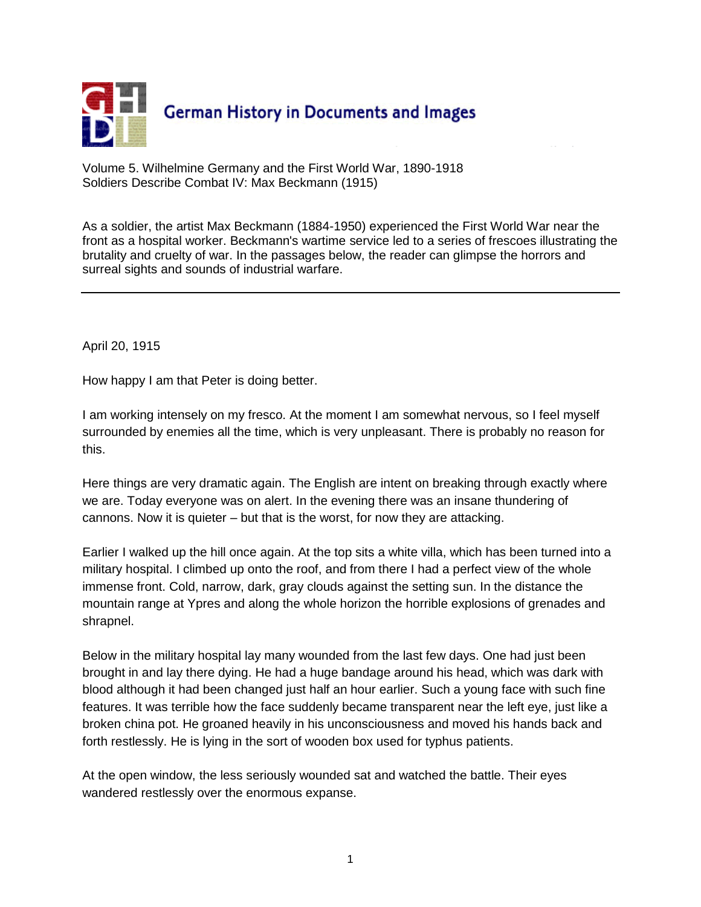

Volume 5. Wilhelmine Germany and the First World War, 1890-1918 Soldiers Describe Combat IV: Max Beckmann (1915)

As a soldier, the artist Max Beckmann (1884-1950) experienced the First World War near the front as a hospital worker. Beckmann's wartime service led to a series of frescoes illustrating the brutality and cruelty of war. In the passages below, the reader can glimpse the horrors and surreal sights and sounds of industrial warfare.

April 20, 1915

How happy I am that Peter is doing better.

I am working intensely on my fresco. At the moment I am somewhat nervous, so I feel myself surrounded by enemies all the time, which is very unpleasant. There is probably no reason for this.

Here things are very dramatic again. The English are intent on breaking through exactly where we are. Today everyone was on alert. In the evening there was an insane thundering of cannons. Now it is quieter – but that is the worst, for now they are attacking.

Earlier I walked up the hill once again. At the top sits a white villa, which has been turned into a military hospital. I climbed up onto the roof, and from there I had a perfect view of the whole immense front. Cold, narrow, dark, gray clouds against the setting sun. In the distance the mountain range at Ypres and along the whole horizon the horrible explosions of grenades and shrapnel.

Below in the military hospital lay many wounded from the last few days. One had just been brought in and lay there dying. He had a huge bandage around his head, which was dark with blood although it had been changed just half an hour earlier. Such a young face with such fine features. It was terrible how the face suddenly became transparent near the left eye, just like a broken china pot. He groaned heavily in his unconsciousness and moved his hands back and forth restlessly. He is lying in the sort of wooden box used for typhus patients.

At the open window, the less seriously wounded sat and watched the battle. Their eyes wandered restlessly over the enormous expanse.